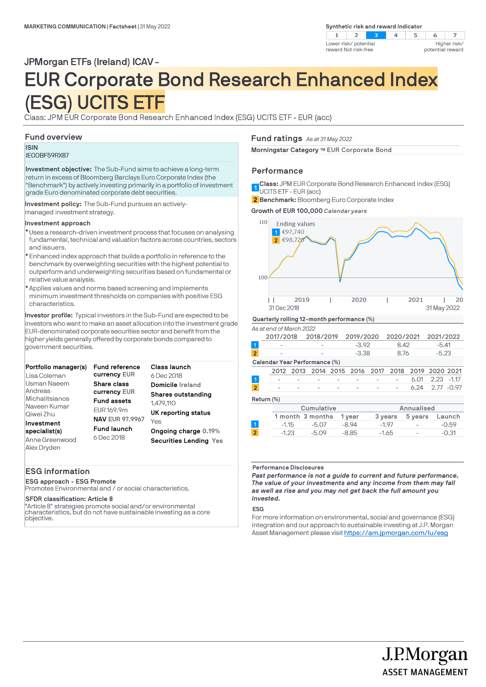

### JPMorgan ETFs (Ireland) ICAV -

# EUR Corporate Bond Research Enhanced Index (ESG) UCITS ETF

Class: JPM EUR Corporate Bond Research Enhanced Index (ESG) UCITS ETF - EUR (acc)

### **Fund overview**

### **ISIN** IE00BF59RX87

**Investment objective:** The Sub-Fund aims to achieve a long-term return in excess of Bloomberg Barclays Euro Corporate Index (the "Benchmark") by actively investing primarily in a portfolio of investment grade Euro denominated corporate debt securities.

**Investment policy:** The Sub-Fund pursues an activelymanaged investment strategy.

### **Investment approach**

- Uses a research-driven investment process that focuses on analysing l fundamental, technical and valuation factors across countries, sectors and issuers.
- Enhanced index approach that builds a portfolio in reference to the l benchmark by overweighting securities with the highest potential to outperform and underweighting securities based on fundamental or relative value analysis.
- Applies values and norms based screening and implements l minimum investment thresholds on companies with positive ESG characteristics.

**Investor profile:** Typical investors in the Sub-Fund are expected to be investors who want to make an asset allocation into the investment grade EUR-denominated corporate securities sector and benefit from the higher yields generally offered by corporate bonds compared to government securities.

| Portfolio manager(s)<br>Lisa Coleman                         | <b>Fund reference</b><br>currency EUR                      | Class launch<br>6 Dec 2018                                   |
|--------------------------------------------------------------|------------------------------------------------------------|--------------------------------------------------------------|
| Usman Naeem<br>Andreas                                       | Share class<br>currency EUR                                | Domicile Ireland                                             |
| Michalitsianos<br>Naveen Kumar<br>Qiwei Zhu                  | <b>Fund assets</b><br>EUR 169.9m                           | Shares outstanding<br>1.479.110<br>UK reporting status       |
| Investment<br>specialist(s)<br>Anne Greenwood<br>Alex Dryden | <b>NAV EUR 97.9967</b><br><b>Fund launch</b><br>6 Dec 2018 | Yes<br>Ongoing charge 0.19%<br><b>Securities Lending Yes</b> |

### **ESG information**

**ESG approach - ESG Promote**

Promotes Environmental and / or social characteristics.

### **SFDR classification: Article 8**

"Article 8" strategies promote social and/or environmental characteristics, but do not have sustainable investing as a core objective.

### **Fund ratings** *As at 31 May 2022*

**Morningstar Category TM EUR Corporate Bond**

### **Performance**

**Class:** JPM EUR Corporate Bond Research Enhanced Index (ESG) 1 UCITS ETF - EUR (acc)

**Benchmark:** Bloomberg Euro Corporate Index **2**



#### *As at end of March 2022*

|                               | 2017/2018                                                                                                                                                                                                                                                                                                                          |  | 2018/2019 |  | 2019/2020 |  | 2020/2021                                         |      | 2021/2022  |  |
|-------------------------------|------------------------------------------------------------------------------------------------------------------------------------------------------------------------------------------------------------------------------------------------------------------------------------------------------------------------------------|--|-----------|--|-----------|--|---------------------------------------------------|------|------------|--|
|                               |                                                                                                                                                                                                                                                                                                                                    |  |           |  | $-3.92$   |  | 8.42                                              |      | $-5.41$    |  |
| $\overline{2}$                |                                                                                                                                                                                                                                                                                                                                    |  |           |  | $-3.38$   |  | 8.76                                              |      | $-5.23$    |  |
| Calendar Year Performance (%) |                                                                                                                                                                                                                                                                                                                                    |  |           |  |           |  |                                                   |      |            |  |
|                               |                                                                                                                                                                                                                                                                                                                                    |  |           |  |           |  | 2012 2013 2014 2015 2016 2017 2018 2019 2020 2021 |      |            |  |
| $\vert$ 1                     |                                                                                                                                                                                                                                                                                                                                    |  |           |  |           |  |                                                   | 6.01 | 2.23 -1.17 |  |
| $\overline{2}$                |                                                                                                                                                                                                                                                                                                                                    |  |           |  |           |  | $\overline{\phantom{a}}$                          | 6.24 | 2.77 -0.97 |  |
|                               | $\mathbb{R}$ $\mathbb{R}$ $\mathbb{R}$ $\mathbb{R}$ $\mathbb{R}$ $\mathbb{R}$ $\mathbb{R}$ $\mathbb{R}$ $\mathbb{R}$ $\mathbb{R}$ $\mathbb{R}$ $\mathbb{R}$ $\mathbb{R}$ $\mathbb{R}$ $\mathbb{R}$ $\mathbb{R}$ $\mathbb{R}$ $\mathbb{R}$ $\mathbb{R}$ $\mathbb{R}$ $\mathbb{R}$ $\mathbb{R}$ $\mathbb{R}$ $\mathbb{R}$ $\mathbb{$ |  |           |  |           |  |                                                   |      |            |  |

**Return (%)**

|                | Cumulative |                  |         |         | Annualised               |         |  |
|----------------|------------|------------------|---------|---------|--------------------------|---------|--|
|                |            | 1 month 3 months | 1 vear  | 3 years | 5 years                  | Launch  |  |
|                | $-1.15$    | $-5.07$          | $-8.94$ | $-197$  | $\overline{\phantom{a}}$ | $-0.59$ |  |
| $\overline{2}$ | $-1.23$    | $-5.09$          | $-8.85$ | $-1.65$ | $\overline{\phantom{a}}$ | $-0.31$ |  |
|                |            |                  |         |         |                          |         |  |

#### **Performance Disclosures**

*Past performance is not a guide to current and future performance. The value of your investments and any income from them may fall as well as rise and you may not get back the full amount you invested.* 

### **ESG**

For more information on environmental, social and governance (ESG) integration and our approach to sustainable investing at J.P. Morgan Asset Management please visit https://am.jpmorgan.com/lu/esg

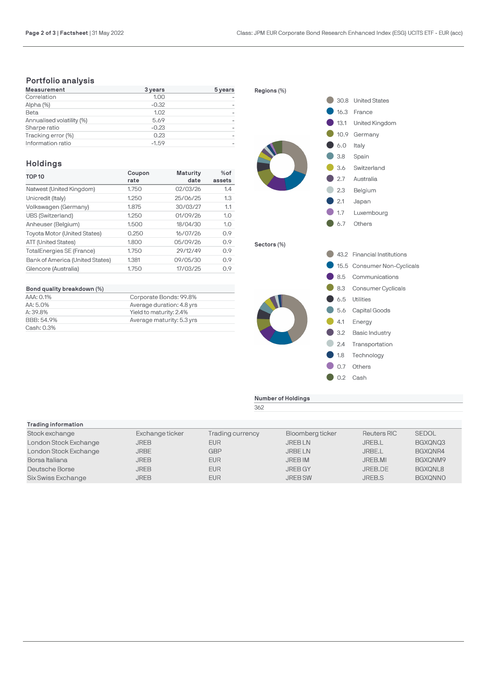### **Portfolio analysis**

| Measurement               | 3 years | 5 years |
|---------------------------|---------|---------|
| Correlation               | 1.00    |         |
| Alpha (%)                 | $-0.32$ |         |
| Beta                      | 1.02    |         |
| Annualised volatility (%) | 5.69    |         |
| Sharpe ratio              | $-0.23$ |         |
| Tracking error (%)        | 0.23    |         |
| Information ratio         | $-1.59$ |         |

### **Holdings**

| <b>TOP 10</b>                       | Coupon<br>rate | <b>Maturity</b><br>date | $%$ of<br>assets |
|-------------------------------------|----------------|-------------------------|------------------|
| Natwest (United Kingdom)            | 1.750          | 02/03/26                | 1.4              |
| Unicredit (Italy)                   | 1.250          | 25/06/25                | 1.3              |
| Volkswagen (Germany)                | 1.875          | 30/03/27                | 1.1              |
| UBS (Switzerland)                   | 1.250          | 01/09/26                | 1.0              |
| Anheuser (Belgium)                  | 1.500          | 18/04/30                | 1.0              |
| <b>Toyota Motor (United States)</b> | 0.250          | 16/07/26                | 0.9              |
| ATT (United States)                 | 1.800          | 05/09/26                | 0.9              |
| <b>TotalEnergies SE (France)</b>    | 1.750          | 29/12/49                | 0.9              |
| Bank of America (United States)     | 1.381          | 09/05/30                | 0.9              |
| Glencore (Australia)                | 1.750          | 17/03/25                | 0.9              |

| Bond quality breakdown (%) |                           |
|----------------------------|---------------------------|
| AAA: 0.1%                  | Corporate Bonds: 99.8%    |
| AA: 5.0%                   | Average duration: 4.8 yrs |
| A: 39.8%                   | Yield to maturity: 2.4%   |
| BBB: 54.9%                 | Average maturity: 5.3 yrs |
| Cash: 0.3%                 |                           |



**Number of Holdings**

362

| Trading information   |                 |                  |                  |               |                |
|-----------------------|-----------------|------------------|------------------|---------------|----------------|
| Stock exchange        | Exchange ticker | Trading currency | Bloomberg ticker | Reuters RIC   | <b>SEDOL</b>   |
| London Stock Exchange | JREB            | <b>EUR</b>       | <b>JREBLN</b>    | <b>JREB.L</b> | BGXQNQ3        |
| London Stock Exchange | <b>JRBE</b>     | <b>GBP</b>       | <b>JRBELN</b>    | JRBE.L        | BGXQNR4        |
| Borsa Italiana        | <b>JREB</b>     | <b>EUR</b>       | <b>JREB IM</b>   | JREB.MI       | BGXONM9        |
| Deutsche Borse        | JREB            | <b>EUR</b>       | <b>JREB GY</b>   | JREB.DE       | BGXQNL8        |
| Six Swiss Exchange    | <b>JREB</b>     | <b>EUR</b>       | <b>JREB SW</b>   | JREB.S        | <b>BGXQNNO</b> |